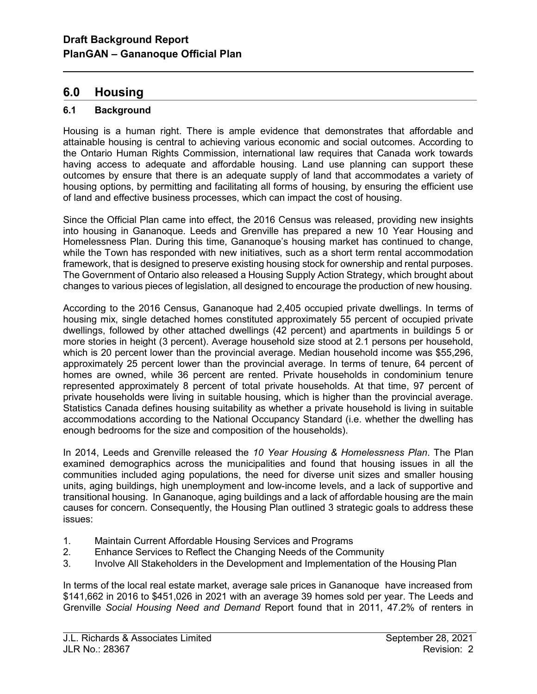# 6.0 Housing

l

## 6.1 Background

Housing is a human right. There is ample evidence that demonstrates that affordable and attainable housing is central to achieving various economic and social outcomes. According to the Ontario Human Rights Commission, international law requires that Canada work towards having access to adequate and affordable housing. Land use planning can support these outcomes by ensure that there is an adequate supply of land that accommodates a variety of housing options, by permitting and facilitating all forms of housing, by ensuring the efficient use of land and effective business processes, which can impact the cost of housing.

Since the Official Plan came into effect, the 2016 Census was released, providing new insights into housing in Gananoque. Leeds and Grenville has prepared a new 10 Year Housing and Homelessness Plan. During this time, Gananoque's housing market has continued to change, while the Town has responded with new initiatives, such as a short term rental accommodation framework, that is designed to preserve existing housing stock for ownership and rental purposes. The Government of Ontario also released a Housing Supply Action Strategy, which brought about changes to various pieces of legislation, all designed to encourage the production of new housing.

According to the 2016 Census, Gananoque had 2,405 occupied private dwellings. In terms of housing mix, single detached homes constituted approximately 55 percent of occupied private dwellings, followed by other attached dwellings (42 percent) and apartments in buildings 5 or more stories in height (3 percent). Average household size stood at 2.1 persons per household, which is 20 percent lower than the provincial average. Median household income was \$55,296, approximately 25 percent lower than the provincial average. In terms of tenure, 64 percent of homes are owned, while 36 percent are rented. Private households in condominium tenure represented approximately 8 percent of total private households. At that time, 97 percent of private households were living in suitable housing, which is higher than the provincial average. Statistics Canada defines housing suitability as whether a private household is living in suitable accommodations according to the National Occupancy Standard (i.e. whether the dwelling has enough bedrooms for the size and composition of the households).

In 2014, Leeds and Grenville released the 10 Year Housing & Homelessness Plan. The Plan examined demographics across the municipalities and found that housing issues in all the communities included aging populations, the need for diverse unit sizes and smaller housing units, aging buildings, high unemployment and low-income levels, and a lack of supportive and transitional housing. In Gananoque, aging buildings and a lack of affordable housing are the main causes for concern. Consequently, the Housing Plan outlined 3 strategic goals to address these issues:

- 1. Maintain Current Affordable Housing Services and Programs
- 2. Enhance Services to Reflect the Changing Needs of the Community
- 3. Involve All Stakeholders in the Development and Implementation of the Housing Plan

In terms of the local real estate market, average sale prices in Gananoque have increased from \$141,662 in 2016 to \$451,026 in 2021 with an average 39 homes sold per year. The Leeds and Grenville Social Housing Need and Demand Report found that in 2011, 47.2% of renters in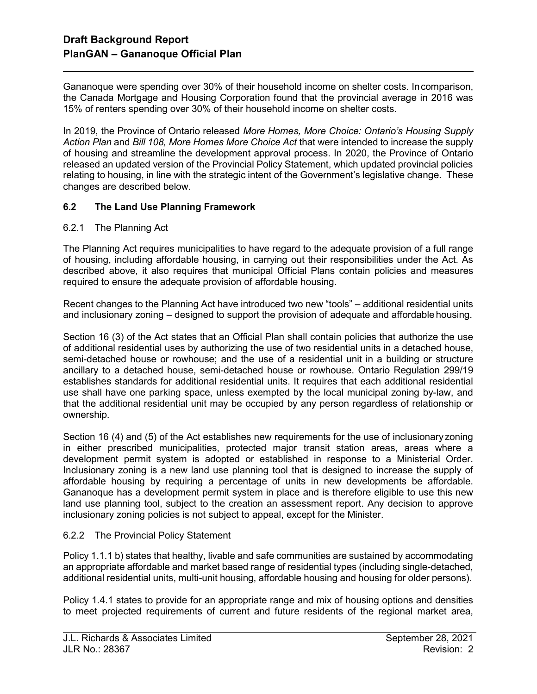Gananoque were spending over 30% of their household income on shelter costs. In comparison, the Canada Mortgage and Housing Corporation found that the provincial average in 2016 was 15% of renters spending over 30% of their household income on shelter costs.

In 2019, the Province of Ontario released More Homes, More Choice: Ontario's Housing Supply Action Plan and Bill 108, More Homes More Choice Act that were intended to increase the supply of housing and streamline the development approval process. In 2020, the Province of Ontario released an updated version of the Provincial Policy Statement, which updated provincial policies relating to housing, in line with the strategic intent of the Government's legislative change. These changes are described below.

### 6.2 The Land Use Planning Framework

6.2.1 The Planning Act

l

The Planning Act requires municipalities to have regard to the adequate provision of a full range of housing, including affordable housing, in carrying out their responsibilities under the Act. As described above, it also requires that municipal Official Plans contain policies and measures required to ensure the adequate provision of affordable housing.

Recent changes to the Planning Act have introduced two new "tools" – additional residential units and inclusionary zoning – designed to support the provision of adequate and affordable housing.

Section 16 (3) of the Act states that an Official Plan shall contain policies that authorize the use of additional residential uses by authorizing the use of two residential units in a detached house, semi-detached house or rowhouse; and the use of a residential unit in a building or structure ancillary to a detached house, semi-detached house or rowhouse. Ontario Regulation 299/19 establishes standards for additional residential units. It requires that each additional residential use shall have one parking space, unless exempted by the local municipal zoning by-law, and that the additional residential unit may be occupied by any person regardless of relationship or ownership.

Section 16 (4) and (5) of the Act establishes new requirements for the use of inclusionary zoning in either prescribed municipalities, protected major transit station areas, areas where a development permit system is adopted or established in response to a Ministerial Order. Inclusionary zoning is a new land use planning tool that is designed to increase the supply of affordable housing by requiring a percentage of units in new developments be affordable. Gananoque has a development permit system in place and is therefore eligible to use this new land use planning tool, subject to the creation an assessment report. Any decision to approve inclusionary zoning policies is not subject to appeal, except for the Minister.

#### 6.2.2 The Provincial Policy Statement

Policy 1.1.1 b) states that healthy, livable and safe communities are sustained by accommodating an appropriate affordable and market based range of residential types (including single-detached, additional residential units, multi-unit housing, affordable housing and housing for older persons).

Policy 1.4.1 states to provide for an appropriate range and mix of housing options and densities to meet projected requirements of current and future residents of the regional market area,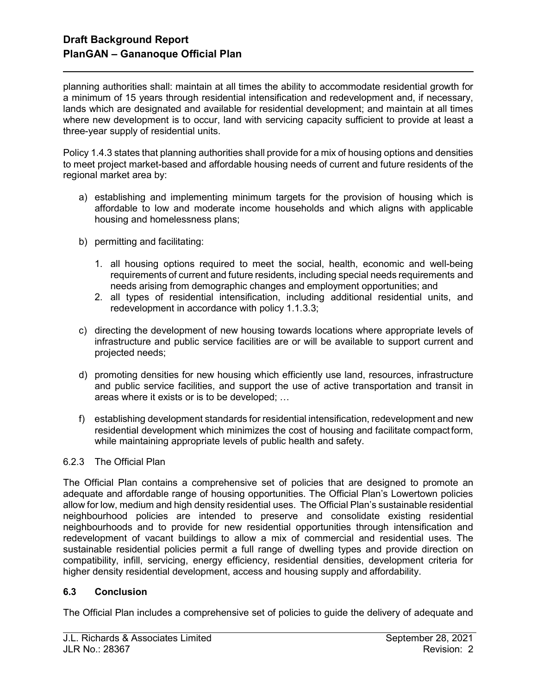l

planning authorities shall: maintain at all times the ability to accommodate residential growth for a minimum of 15 years through residential intensification and redevelopment and, if necessary, lands which are designated and available for residential development; and maintain at all times where new development is to occur, land with servicing capacity sufficient to provide at least a three-year supply of residential units.

Policy 1.4.3 states that planning authorities shall provide for a mix of housing options and densities to meet project market-based and affordable housing needs of current and future residents of the regional market area by:

- a) establishing and implementing minimum targets for the provision of housing which is affordable to low and moderate income households and which aligns with applicable housing and homelessness plans;
- b) permitting and facilitating:
	- 1. all housing options required to meet the social, health, economic and well-being requirements of current and future residents, including special needs requirements and needs arising from demographic changes and employment opportunities; and
	- 2. all types of residential intensification, including additional residential units, and redevelopment in accordance with policy 1.1.3.3;
- c) directing the development of new housing towards locations where appropriate levels of infrastructure and public service facilities are or will be available to support current and projected needs;
- d) promoting densities for new housing which efficiently use land, resources, infrastructure and public service facilities, and support the use of active transportation and transit in areas where it exists or is to be developed; …
- f) establishing development standards for residential intensification, redevelopment and new residential development which minimizes the cost of housing and facilitate compact form, while maintaining appropriate levels of public health and safety.

#### 6.2.3 The Official Plan

The Official Plan contains a comprehensive set of policies that are designed to promote an adequate and affordable range of housing opportunities. The Official Plan's Lowertown policies allow for low, medium and high density residential uses. The Official Plan's sustainable residential neighbourhood policies are intended to preserve and consolidate existing residential neighbourhoods and to provide for new residential opportunities through intensification and redevelopment of vacant buildings to allow a mix of commercial and residential uses. The sustainable residential policies permit a full range of dwelling types and provide direction on compatibility, infill, servicing, energy efficiency, residential densities, development criteria for higher density residential development, access and housing supply and affordability.

#### 6.3 Conclusion

The Official Plan includes a comprehensive set of policies to guide the delivery of adequate and